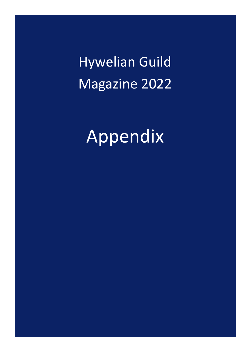Hywelian Guild Magazine 2022

Appendix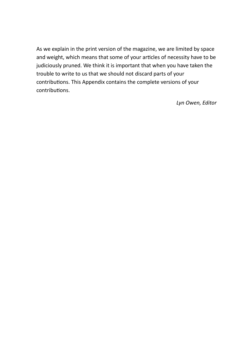As we explain in the print version of the magazine, we are limited by space and weight, which means that some of your articles of necessity have to be judiciously pruned. We think it is important that when you have taken the trouble to write to us that we should not discard parts of your contributions. This Appendix contains the complete versions of your contributions.

*Lyn Owen, Editor*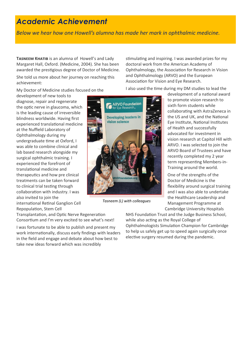## *Academic Achievement*

*Below we hear how one Howell's alumna has made her mark in ophthalmic medicine.*

**TASNEEM KHATIB** is an alumna of Howell's and Lady Margaret Hall, Oxford. (Medicine, 2004). She has been awarded the prestigious degree of Doctor of Medicine.

She told us more about her journey on reaching this achievement:

My Doctor of Medicine studies focused on the

development of new tools to diagnose, repair and regenerate the optic nerve in glaucoma, which is the leading cause of irreversible blindness worldwide. Having first experienced translational medicine at the Nuffield Laboratory of Ophthalmology during my undergraduate time at Oxford, I was able to combine clinical and lab based research alongside my surgical ophthalmic training. I experienced the forefront of translational medicine and therapeutics and how pre clinical treatments can be taken forward to clinical trial testing through collaboration with industry. I was also invited to join the international Retinal Ganglion Cell

Repopulation, Stem Cell Transplantation, and Optic Nerve Regeneration Consortium and I'm very excited to see what's next!

I was fortunate to be able to publish and present my work internationally, discuss early findings with leaders in the field and engage and debate about how best to take new ideas forward which was incredibly



*Tasneem (L) with colleagues*

stimulating and inspiring. I was awarded prizes for my doctoral work from the American Academy of Ophthalmology, the Association for Research in Vision and Ophthalmology (ARVO) and the European Association for Vision and Eye Research.

I also used the time during my DM studies to lead the

development of a national award to promote vision research to sixth form students while collaborating with AstraZeneca in the US and UK, and the National Eye Institute, National Institutes of Health and successfully advocated for investment in vision research at Capitol Hill with ARVO. I was selected to join the ARVO Board of Trustees and have recently completed my 2 year term representing Members-in-Training around the world.

One of the strengths of the Doctor of Medicine is the flexibility around surgical training and I was also able to undertake the Healthcare Leadership and Management Programme at Cambridge University Hospitals

NHS Foundation Trust and the Judge Business School, while also acting as the Royal College of Ophthalmologists Simulation Champion for Cambridge to help us safely get up to speed again surgically once elective surgery resumed during the pandemic.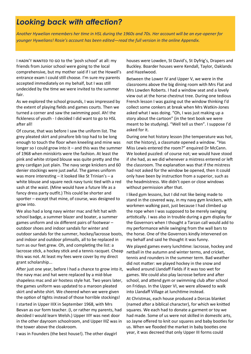## *Looking back with affection?*

*Another Hywelian remembers her time in HSL during the 1960s and 70s. Her account will be an eye-opener for younger Hywelians! Rosie's account has been edited—read the full version in the online Appendix.*

I hadn't wanted to go to the 'posh school' at all: my friends from Junior school were going to the local comprehensive, but my mother said if I sat the Howell's entrance exam I could still choose. I'm sure my parents accepted immediately on my behalf, but I was still undecided by the time we were invited to the summer fair.

As we explored the school grounds, I was impressed by the extent of playing fields and games courts. Then we turned a corner and saw the swimming pool. Ah! the fickleness of youth - I decided I did want to go to HSL after all!

Of course, that was before I saw the uniform list. The grey pleated skirt and pinafore bib top had to be long enough to touch the floor when kneeling and mine was longer so I could grow into it – and this was the summer of 1968 when miniskirts were the fashion. At least the pink and white striped blouse was quite pretty and the grey cardigan just plain. The navy serge knickers and 60 denier stockings were just awful. The games uniform was more interesting – it looked like St Trinian's – a white blouse and square neck navy tunic tied with a red sash at the waist. (Mine would have a future life as a fancy dress party outfit.) This could be shorter and sportier – except that mine, of course, was designed to grow into.

We also had a long navy winter mac and felt hat with school badge, a summer blazer and boater, a summer games uniform and six different pairs of footwear – outdoor shoes and indoor sandals for winter and outdoor sandals for the summer, hockey/lacrosse boots, and indoor and outdoor plimsolls, all to be replaced in turn as our feet grew. Oh, and completing the list: a lacrosse stick, a hockey stick and a tennis racquet. Cheap this was not. At least my fees were cover by my direct grant scholarship...

After just one year, before I had a chance to grow into it, the navy mac and hat were replaced by a mid-blue shapeless mac and air hostess style hat. Two years later, the games uniform was updated to a maroon pleated skirt and white shirt. We cheered when we were given the option of tights instead of those horrible stockings!

I started in Upper IIIX in September 1968, with Mrs Bevan as our form teacher. (I, or rather my parents, had decided I would learn Welsh.) Upper IIIY was next door in the other dayroom schoolroom, and Upper IIIZ was in the tower above the cloakroom.

I was in Founders (the best house!). The other daygirl

houses were Lowden, St David's, St Dyfrig's, Drapers and Buckley. Boarder houses were Kendall, Taylor, Oaklands and Hazelwood.

Between the Lower IV and Upper V, we were in the classrooms above the big dining room with Mrs Flat and Mrs Lowden Roberts. I had a window seat and a lovely view out at the horse chestnut tree. During one tedious French lesson I was gazing out the window thinking I'd collect some conkers at break when Mrs Watkin-Jones asked what I was doing. "Oh, I was just making up a story about the cartoon" (in the text book we were meant to be studying). "Well tell us then". I suppose I'd asked for it.

During one hot history lesson (the temperature was hot, not the history), a classmate opened a window. "Has Miss Lewis entered the room?" enquired Dr McCann. We looked puzzled: of course not; we would have stood if she had, as we did whenever a mistress entered or left the classroom. The explanation was that if the mistress had not asked for the window be opened, then it could only have been by instruction from a superior, such as the headmistress. We didn't open or close windows without permission after that.

I liked gym lessons, but I did not like being made to stand in the covered way, in my navy gym knickers, with workmen walking past, just because I had climbed up the rope when I was supposed to be merely swinging artistically. I was also in trouble during a gym display for the Governors when I thought a Tarzan call would add to my performance while swinging from the wall bars to the horse. One of the Governors kindly intervened on my behalf and said he thought it was funny.

We played games every lunchtime: lacrosse, hockey and netball in the autumn and winter terms, and cricket, tennis and rounders in the summer term. Bad weather did not matter: we played hockey in the snow and walked around Llandaff Fields if it was too wet for games. We could also play lacrosse before and after school, and attend gym or swimming club after school on Fridays. In the Upper VI, we were allowed to walk into Llandaff Village at lunchtime instead.

At Christmas, each house produced a Dorcas blanket (named after a biblical character), for which we knitted squares. We each had to donate a garment or toy we had made. Some of us were not skilled in domestic arts, so Jayne offered to knit our squares and baby booties for us. When we flooded the market in baby booties one year, it was decreed that only Upper III forms could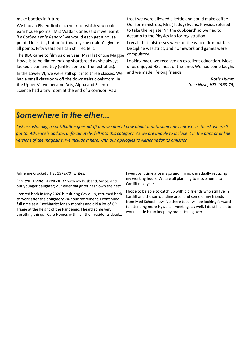make booties in future.

We had an Eisteddfod each year for which you could earn house points. Mrs Watkin-Jones said if we learnt '*Le Corbeau et le Renard'* we would each get a house point. I learnt it, but unfortunately she couldn't give us all points. Fifty years on I can still recite it...

The BBC came to film us one year. Mrs Flat chose Maggie Howells to be filmed making shortbread as she always looked clean and tidy (unlike some of the rest of us).

In the Lower VI, we were still split into three classes. We had a small classroom off the downstairs cloakroom. In the Upper VI, we became Arts, Alpha and Science. Science had a tiny room at the end of a corridor. As a

treat we were allowed a kettle and could make coffee. Our form mistress, Mrs (Teddy) Evans, Physics, refused to take the register 'in the cupboard' so we had to decamp to the Physics lab for registration.

I recall that mistresses were on the whole firm but fair. Discipline was strict, and homework and games were compulsory.

Looking back, we received an excellent education. Most of us enjoyed HSL most of the time. We had some laughs and we made lifelong friends.

> *Rosie Humm (née Nash, HSL 1968-75)*

### *Somewhere in the ether...*

*Just occasionally, a contribution goes adrift and we don't know about it until someone contacts us to ask where it got to. Adrienne's update, unfortunately, fell into this category. As we are unable to include it in the print or online versions of the magazine, we include it here, with our apologies to Adrienne for its omission.*

Adrienne Crockett (HSL 1972-79) writes:

"I'm still living in Yorkshire with my husband, Vince, and our younger daughter; our elder daughter has flown the nest.

I retired back in May 2020 but during Covid-19, returned back to work after the obligatory 24-hour retirement. I continued full time as a Psychiatrist for six months and did a lot of GP Triage at the height of the Pandemic. I heard some very upsetting things - Care Homes with half their residents dead…

I went part time a year ago and I'm now gradually reducing my working hours. We are all planning to move home to Cardiff next year.

I hope to be able to catch up with old friends who still live in Cardiff and the surrounding area, and some of my friends from Med School now live there too. I will be looking forward to attending more Hywelian meetings as well. I do still plan to work a little bit to keep my brain ticking over!"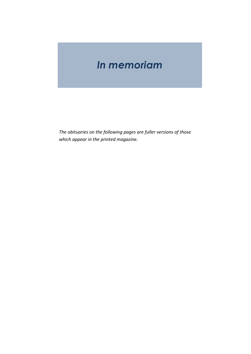# *In memoriam*

*The obituaries on the following pages are fuller versions of those which appear in the printed magazine.*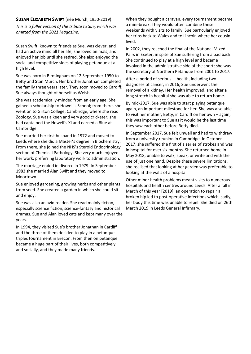### **Susan Elizabeth Swift** (née Murch, 1950-2019)

*This is a fuller version of the tribute to Sue, which was omitted from the 2021 Magazine.*

Susan Swift, known to friends as Sue, was clever, and had an active mind all her life; she loved animals, and enjoyed her job until she retired. She also enjoyed the social and competitive sides of playing petanque at a high level.

Sue was born in Birmingham on 12 September 1950 to Betty and Stan Murch. Her brother Jonathan completed the family three years later. They soon moved to Cardiff; Sue always thought of herself as Welsh.

She was academically-minded from an early age. She gained a scholarship to Howell's School; from there, she went on to Girton College, Cambridge, where she read Zoology. Sue was a keen and very good cricketer; she had captained the Howell's XI and earned a Blue at Cambridge.

Sue married her first husband in 1972 and moved to Leeds where she did a Master's degree in Biochemistry. From there, she joined the NHS's Steroid Endocrinology section of Chemical Pathology. She very much enjoyed her work, preferring laboratory work to administration.

The marriage ended in divorce in 1979. In September 1983 she married Alan Swift and they moved to Moortown.

Sue enjoyed gardening, growing herbs and other plants from seed. She created a garden in which she could sit and enjoy.

Sue was also an avid reader. She read mainly fiction, especially science fiction, science-fantasy and historical dramas. Sue and Alan loved cats and kept many over the years.

In 1994, they visited Sue's brother Jonathan in Cardiff and the three of them decided to play in a petanque triples tournament in Brecon. From then on petanque became a huge part of their lives, both competitively and socially, and they made many friends.

When they bought a caravan, every tournament became a mini-break. They would often combine these weekends with visits to family. Sue particularly enjoyed her trips back to Wales and to Lincoln where her cousin lived.

In 2002, they reached the final of the National Mixed Pairs in Exeter, in spite of Sue suffering from a bad back. She continued to play at a high level and became involved in the administrative side of the sport; she was the secretary of Northern Petanque from 2001 to 2017.

After a period of serious ill health, including two diagnoses of cancer, in 2016, Sue underwent the removal of a kidney. Her health improved, and after a long stretch in hospital she was able to return home.

By mid-2017, Sue was able to start playing petanque again, an important milestone for her. She was also able to visit her mother, Betty, in Cardiff on her own – again, this was important to Sue as it would be the last time they saw each other before Betty died.

In September 2017, Sue felt unwell and had to withdraw from a university reunion in Cambridge. In October 2017, she suffered the first of a series of strokes and was in hospital for over six months. She returned home in May 2018, unable to walk, speak, or write and with the use of just one hand. Despite these severe limitations, she realised that looking at her garden was preferable to looking at the walls of a hospital.

Other minor health problems meant visits to numerous hospitals and health centres around Leeds. After a fall in March of this year [2019], an operation to repair a broken hip led to post-operative infections which, sadly, her body this time was unable to repel. She died on 26th March 2019 in Leeds General Infirmary.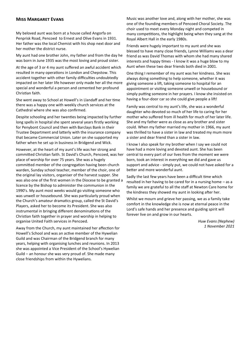#### **Miss Margaret Evans**

My beloved aunt was born at a house called Angorfa on Penprisk Road, Pencoed to Ernest and Olive Evans in 1931. Her father was the local Chemist with his shop next door and her mother the district nurse.

My aunt had one brother John, my father and from the day he was born in June 1935 was the most loving and proud sister.

At the age of 3 or 4 my aunt suffered an awful accident which resulted in many operations in London and Chepstow. This accident together with other family difficulties undoubtedly impacted on her later life however only made her all the more special and wonderful a person and cemented her profound Christian faith.

She went away to School at Howell's in Llandaff and her time there was a happy one with weekly church services at the Cathedral where she was also confirmed.

Despite schooling and her twenties being impacted by further long spells in hospital she spent several years firstly working for Penybont Council and then with Barclays Bank in their Trustee Department and latterly with the insurance company that became Commercial Union. Later on she supported my father when he set up in business in Bridgend and Wick.

However, at the heart of my aunt's life was her strong and committed Christian faith. St David's Church, Pencoed, was her place of worship for over 75 years. She was a hugely committed member of the congregation having been church warden, Sunday school teacher, member of the choir, one of the original lay visitors, organiser of the harvest supper. She was also one of the first women in the Diocese to be granted a licence by the Bishop to administer the communion in the 1990's. My aunt most weeks would go visiting someone who was unwell or housebound. She was particularly proud when the Church's amateur dramatics group, called the St David's Players, asked her to become its President. She was also instrumental in bringing different denominations of the Christian faith together in prayer and worship in helping to organise United Faith services in Pencoed.

Away from the Church, my aunt maintained her affection for Howell's School and was an active member of the Hywelian Guild and was Chairman of the Bridgend branch for many years, helping with organising lunches and reunions. In 2013 she was appointed a Vice President of the School's Hywelian Guild – an honour she was very proud of. She made many close friendships from within the Hywelians.

Music was another love and, along with her mother, she was one of the founding members of Pencoed Choral Society. The choir used to meet every Monday night and competed in many competitions, the highlight being when they sang at the Royal Albert Hall in the early 1980s.

Friends were hugely important to my aunt and she was blessed to have many close friends, Lynne Williams was a dear friend as was David Thomas with whom she had many shared interests and happy times - I know it was a huge blow to my Aunt when these two dear friends both died in 2001.

One thing I remember of my aunt was her kindness. She was always doing something to help someone, whether it was giving someone a lift, taking someone to hospital for an appointment or visiting someone unwell or housebound or simply putting someone in her prayers. I know she insisted on having a four-door car so she could give people a lift!

Family was central to my aunt's life, she was a wonderful daughter who devoted so much of her life to caring for her mother who suffered from ill health for much of her later life. She and my father were as close as any brother and sister could. When my father married my mother in 1966, my aunt was thrilled to have a sister in law and treated my mum more a sister and dear friend than a sister in law.

I know I also speak for my brother when I say we could not have had a more loving and devoted aunt. She has been central to every part of our lives from the moment we were born, took an interest in everything we did and gave us support and advice - simply put, we could not have asked for a better and more wonderful aunt.

Sadly the last few years have been a difficult time which resulted in her having to be cared for in a nursing home – as a family we are grateful to all the staff at Newton Care home for the kindness they showed my aunt in looking after her.

Whilst we mourn and grieve her passing, we as a family take comfort in the knowledge she is now at eternal peace in the Lord's safe hands and her presence and guiding spirit will forever live on and grow in our hearts.

> *Huw Evans (Nephew) 1 November 2021*